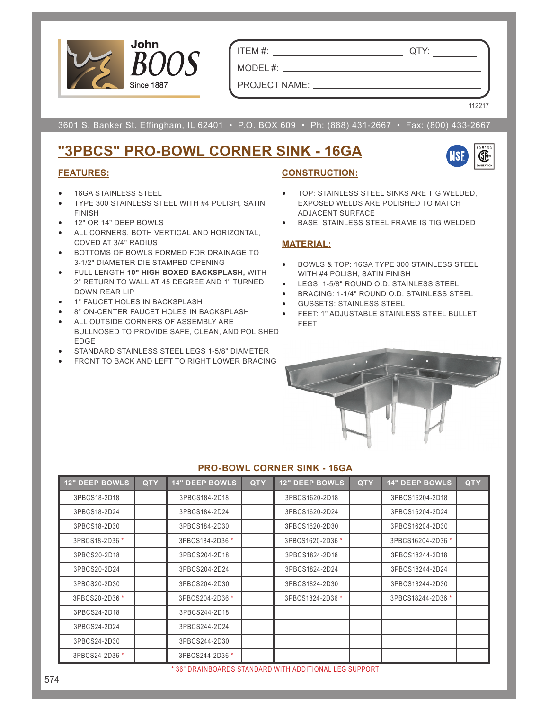

ITEM #: QTY:

PROJECT NAME:

MODEL #:

112217

3601 S. Banker St. Effingham, IL 62401 • P.O. BOX 609 • Ph: (888) 431-2667 • Fax: (800) 433-2667

# **"3PBCS" PRO-BOWL CORNER SINK - 16GA**



### **FEATURES:**

- 16GA STAINLESS STEEL
- TYPE 300 STAINLESS STEEL WITH #4 POLISH, SATIN FINISH
- 12" OR 14" DEEP BOWLS
- ALL CORNERS, BOTH VERTICAL AND HORIZONTAL, COVED AT 3/4" RADIUS
- BOTTOMS OF BOWLS FORMED FOR DRAINAGE TO 3-1/2" DIAMETER DIE STAMPED OPENING
- FULL LENGTH **10" HIGH BOXED BACKSPLASH,** WITH 2" RETURN TO WALL AT 45 DEGREE AND 1" TURNED DOWN REAR LIP
- 1" FAUCET HOLES IN BACKSPLASH
- 8" ON-CENTER FAUCET HOLES IN BACKSPLASH
- ALL OUTSIDE CORNERS OF ASSEMBLY ARE BULLNOSED TO PROVIDE SAFE, CLEAN, AND POLISHED EDGE
- STANDARD STAINLESS STEEL LEGS 1-5/8" DIAMETER
- FRONT TO BACK AND LEFT TO RIGHT LOWER BRACING

### **CONSTRUCTION:**

- TOP: STAINLESS STEEL SINKS ARE TIG WELDED, EXPOSED WELDS ARE POLISHED TO MATCH ADJACENT SURFACE
- BASE: STAINLESS STEEL FRAME IS TIG WELDED

### **MATERIAL:**

- BOWLS & TOP: 16GA TYPE 300 STAINLESS STEEL WITH #4 POLISH, SATIN FINISH
- LEGS: 1-5/8" ROUND O.D. STAINLESS STEEL
- BRACING: 1-1/4" ROUND O.D. STAINLESS STEEL
- GUSSETS: STAINLESS STEEL
- FEET: 1" ADJUSTABLE STAINLESS STEEL BULLET FEET



#### **PRO-BOWL CORNER SINK - 16GA**

| <b>12" DEEP BOWLS</b> | <b>QTY</b> | <b>14" DEEP BOWLS</b> | <b>QTY</b> | <b>12" DEEP BOWLS</b> | <b>QTY</b> | <b>14" DEEP BOWLS</b> | <b>QTY</b> |
|-----------------------|------------|-----------------------|------------|-----------------------|------------|-----------------------|------------|
| 3PBCS18-2D18          |            | 3PBCS184-2D18         |            | 3PBCS1620-2D18        |            | 3PBCS16204-2D18       |            |
| 3PBCS18-2D24          |            | 3PBCS184-2D24         |            | 3PBCS1620-2D24        |            | 3PBCS16204-2D24       |            |
| 3PBCS18-2D30          |            | 3PBCS184-2D30         |            | 3PBCS1620-2D30        |            | 3PBCS16204-2D30       |            |
| 3PBCS18-2D36 *        |            | 3PBCS184-2D36 *       |            | 3PBCS1620-2D36 *      |            | 3PBCS16204-2D36 *     |            |
| 3PBCS20-2D18          |            | 3PBCS204-2D18         |            | 3PBCS1824-2D18        |            | 3PBCS18244-2D18       |            |
| 3PBCS20-2D24          |            | 3PBCS204-2D24         |            | 3PBCS1824-2D24        |            | 3PBCS18244-2D24       |            |
| 3PBCS20-2D30          |            | 3PBCS204-2D30         |            | 3PBCS1824-2D30        |            | 3PBCS18244-2D30       |            |
| 3PBCS20-2D36 *        |            | 3PBCS204-2D36 *       |            | 3PBCS1824-2D36 *      |            | 3PBCS18244-2D36 *     |            |
| 3PBCS24-2D18          |            | 3PBCS244-2D18         |            |                       |            |                       |            |
| 3PBCS24-2D24          |            | 3PBCS244-2D24         |            |                       |            |                       |            |
| 3PBCS24-2D30          |            | 3PBCS244-2D30         |            |                       |            |                       |            |
| 3PBCS24-2D36 *        |            | 3PBCS244-2D36 *       |            |                       |            |                       |            |